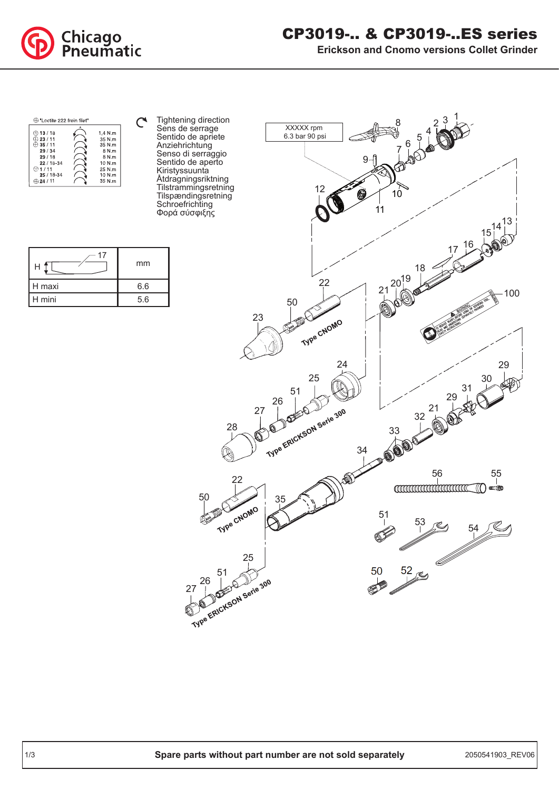

## CP3019-.. & CP3019-..ES series

**Erickson and Cnomo versions Collet Grinder**



Tightening direction  $\mathcal{C}$ Sens de serrage Sentido de apriete Anziehrichtung Senso di serraggio Sentido de aperto Kiristyssuunta Åtdragningsriktning Tilstrammingsretning Tilspændingsretning **Schroefrichting** Φορά σύσφιξης

|        | mm  |
|--------|-----|
| H maxi | 6.6 |
| H mini | 5.6 |

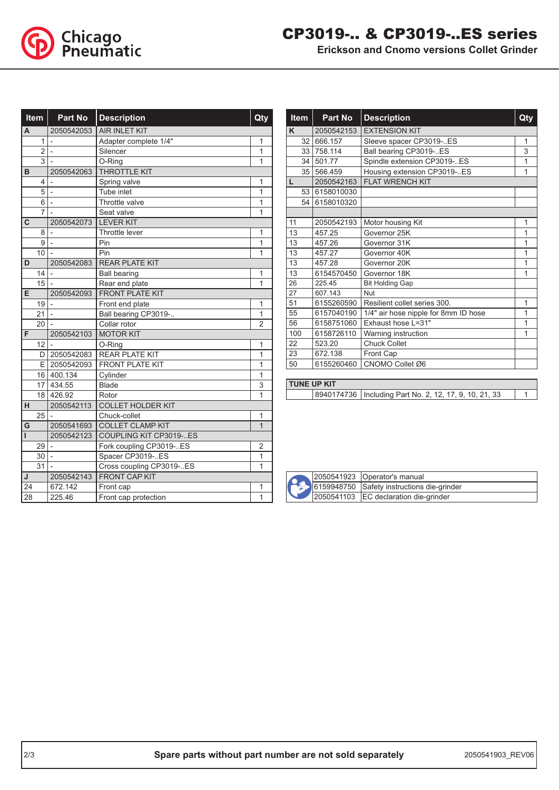

**Erickson and Cnomo versions Collet Grinder**

| <b>Item</b><br><b>Part No</b> |                |                          | <b>Description</b>       |                                  |
|-------------------------------|----------------|--------------------------|--------------------------|----------------------------------|
| A                             |                | 2050542053               | <b>AIR INLET KIT</b>     |                                  |
|                               | 1              | $\overline{a}$           | Adapter complete 1/4"    |                                  |
|                               | $\overline{2}$ | $\overline{\phantom{0}}$ | Silencer                 |                                  |
|                               | 3              |                          | O-Ring                   | $\overline{1}$                   |
| B                             |                | 2050542063               | <b>THROTTLE KIT</b>      |                                  |
|                               | 4              |                          | Spring valve             | 1                                |
|                               | 5              | $\overline{\phantom{0}}$ | Tube inlet               | 1                                |
|                               | 6              |                          | Throttle valve           | 1                                |
|                               | 7              |                          | Seat valve               | 1                                |
| C                             |                | 2050542073               | <b>LEVER KIT</b>         |                                  |
|                               | 8              |                          | Throttle lever           | $\mathbf{1}$                     |
|                               | 9              |                          | Pin                      | $\overline{1}$                   |
|                               | 10             |                          | Pin                      | $\overline{1}$                   |
| D                             |                | 2050542083               | <b>REAR PLATE KIT</b>    |                                  |
|                               | 14             |                          | <b>Ball bearing</b>      | $\overline{1}$                   |
|                               | 15             |                          | Rear end plate           | 1                                |
| E                             |                | 2050542093               | <b>FRONT PLATE KIT</b>   |                                  |
|                               | 19             |                          | Front end plate          | 1                                |
|                               | 21             |                          | Ball bearing CP3019-     | $\overline{1}$                   |
|                               | 20             | $\overline{a}$           | Collar rotor             | $\overline{2}$                   |
| F                             |                | 2050542103               | <b>MOTOR KIT</b>         |                                  |
|                               | 12             |                          | O-Ring                   | $\overline{1}$                   |
|                               | D              | 2050542083               | <b>REAR PLATE KIT</b>    | $\overline{1}$                   |
|                               | E.             | 2050542093               | <b>FRONT PLATE KIT</b>   | 1                                |
|                               | 16             | 400.134                  | Cylinder                 | 1                                |
|                               | 17             | 434.55                   | <b>Blade</b>             | 3                                |
|                               | 18             | 426.92                   | Rotor                    | 1                                |
| H                             |                | 2050542113               | <b>COLLET HOLDER KIT</b> |                                  |
|                               | 25             |                          | Chuck-collet             | 1                                |
| G                             |                | 2050541693               | <b>COLLET CLAMP KIT</b>  | $\overline{1}$                   |
| ı                             |                | 2050542123               | COUPLING KIT CP3019-ES   |                                  |
|                               | 29             | $\overline{\phantom{m}}$ | Fork coupling CP3019-ES  | 2                                |
|                               | 30             |                          | Spacer CP3019-ES         | $\overline{1}$<br>$\overline{1}$ |
|                               | 31             |                          | Cross coupling CP3019-ES |                                  |
| J                             |                | 2050542143               | <b>FRONT CAP KIT</b>     |                                  |
| 24                            |                | 672.142                  | Front cap                | 1                                |
| 28                            |                | 225.46                   | Front cap protection     | $\mathbf{1}$                     |

|     | <b>Item</b>     | <b>Part No</b> | <b>Description</b>                   | Qty |
|-----|-----------------|----------------|--------------------------------------|-----|
| K   |                 | 2050542153     | <b>EXTENSION KIT</b>                 |     |
|     | 32 <sub>1</sub> | 666.157        | Sleeve spacer CP3019-ES              | 1   |
|     | 33 <sup>1</sup> | 758.114        | Ball bearing CP3019-ES               | 3   |
|     | 34              | 501.77         | Spindle extension CP3019-ES          | 1   |
|     | 35              | 566.459        | Housing extension CP3019-ES          | 1   |
| L   |                 | 2050542163     | <b>FLAT WRENCH KIT</b>               |     |
|     | 53              | 6158010030     |                                      |     |
|     | 54              | 6158010320     |                                      |     |
|     |                 |                |                                      |     |
| 11  |                 | 2050542193     | Motor housing Kit                    | 1   |
| 13  |                 | 457.25         | Governor 25K                         | 1   |
| 13  |                 | 457.26         | Governor 31K                         | 1   |
| 13  |                 | 457.27         | Governor 40K                         | 1   |
| 13  |                 | 457.28         | Governor 20K                         | 1   |
| 13  |                 | 6154570450     | Governor 18K                         | 1   |
| 26  |                 | 225.45         | <b>Bit Holding Gap</b>               |     |
| 27  |                 | 607.143        | Nut                                  |     |
| 51  |                 | 6155260590     | Resilient collet series 300.         | 1   |
| 55  |                 | 6157040190     | 1/4" air hose nipple for 8mm ID hose | 1   |
| 56  |                 | 6158751060     | Exhaust hose L=31"                   | 1   |
| 100 |                 | 6158726110     | Warning instruction                  | 1   |
| 22  |                 | 523.20         | <b>Chuck Collet</b>                  |     |
| 23  |                 | 672.138        | Front Cap                            |     |
| 50  |                 | 6155260460     | CNOMO Collet Ø6                      |     |

## **TUNE UP KIT**

8940174736 | Including Part No. 2, 12, 17, 9, 10, 21, 33 | 1



 Operator's manual 6159948750 Safety instructions die-grinder EC declaration die-grinder